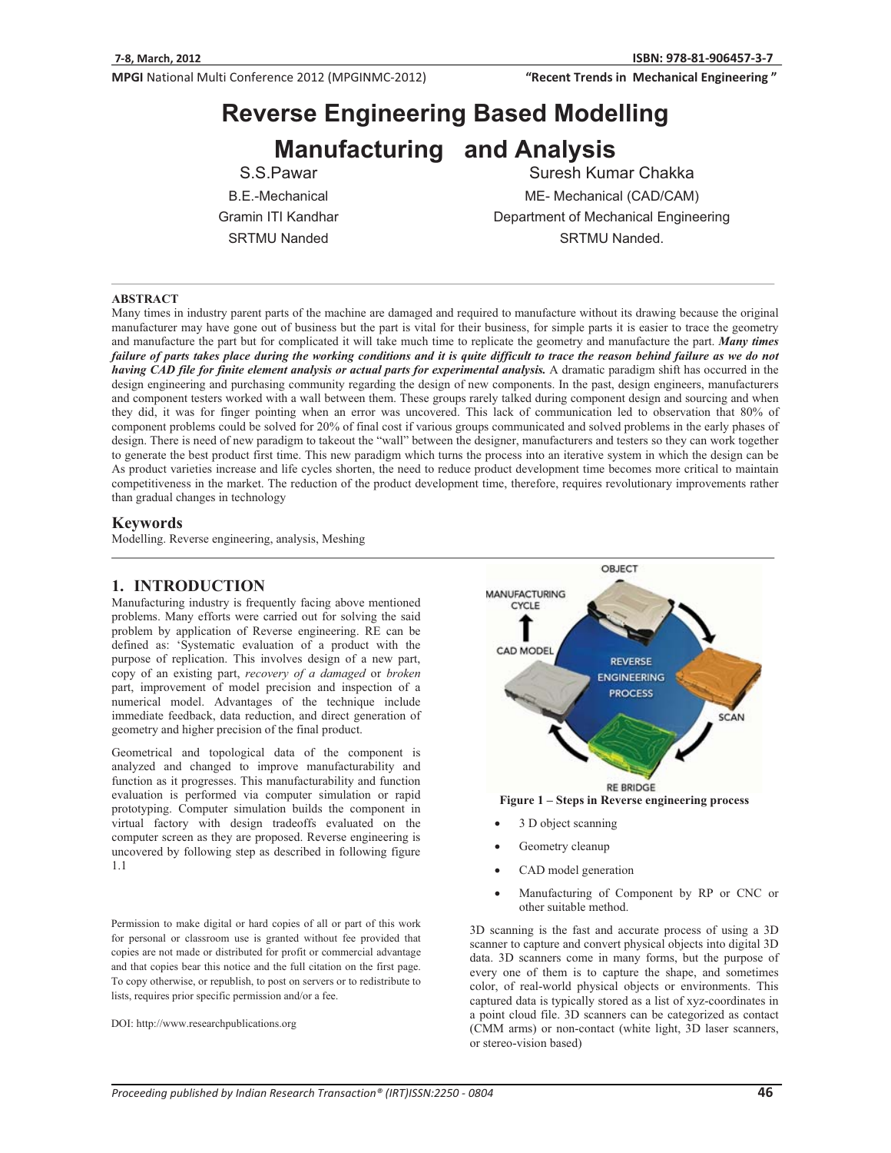"Recent Trends in Mechanical Engineering"

# **Reverse Engineering Based Modelling Manufacturing and Analysis**

S.S.Pawar B.E.-Mechanical Gramin ITI Kandhar SRTMU Nanded

Suresh Kumar Chakka ME- Mechanical (CAD/CAM) Department of Mechanical Engineering SRTMU Nanded.

#### **ABSTRACT**

Many times in industry parent parts of the machine are damaged and required to manufacture without its drawing because the original manufacturer may have gone out of business but the part is vital for their business, for simple parts it is easier to trace the geometry and manufacture the part but for complicated it will take much time to replicate the geometry and manufacture the part. *Many times failure of parts takes place during the working conditions and it is quite difficult to trace the reason behind failure as we do not having CAD file for finite element analysis or actual parts for experimental analysis.* A dramatic paradigm shift has occurred in the design engineering and purchasing community regarding the design of new components. In the past, design engineers, manufacturers and component testers worked with a wall between them. These groups rarely talked during component design and sourcing and when they did, it was for finger pointing when an error was uncovered. This lack of communication led to observation that 80% of component problems could be solved for 20% of final cost if various groups communicated and solved problems in the early phases of design. There is need of new paradigm to takeout the "wall" between the designer, manufacturers and testers so they can work together to generate the best product first time. This new paradigm which turns the process into an iterative system in which the design can be As product varieties increase and life cycles shorten, the need to reduce product development time becomes more critical to maintain competitiveness in the market. The reduction of the product development time, therefore, requires revolutionary improvements rather than gradual changes in technology

#### **Keywords**

Modelling. Reverse engineering, analysis, Meshing

## **1. INTRODUCTION**

Manufacturing industry is frequently facing above mentioned problems. Many efforts were carried out for solving the said problem by application of Reverse engineering. RE can be defined as: 'Systematic evaluation of a product with the purpose of replication. This involves design of a new part, copy of an existing part, *recovery of a damaged* or *broken* part, improvement of model precision and inspection of a numerical model. Advantages of the technique include immediate feedback, data reduction, and direct generation of geometry and higher precision of the final product.

Geometrical and topological data of the component is analyzed and changed to improve manufacturability and function as it progresses. This manufacturability and function evaluation is performed via computer simulation or rapid prototyping. Computer simulation builds the component in virtual factory with design tradeoffs evaluated on the computer screen as they are proposed. Reverse engineering is uncovered by following step as described in following figure 1.1

Permission to make digital or hard copies of all or part of this work for personal or classroom use is granted without fee provided that copies are not made or distributed for profit or commercial advantage and that copies bear this notice and the full citation on the first page. To copy otherwise, or republish, to post on servers or to redistribute to lists, requires prior specific permission and/or a fee.

DOI: http://www.researchpublications.org



**Figure 1 – Steps in Reverse engineering process** 

- -3 D object scanning
- -Geometry cleanup
- -CAD model generation
- - Manufacturing of Component by RP or CNC or other suitable method.

3D scanning is the fast and accurate process of using a 3D scanner to capture and convert physical objects into digital 3D data. 3D scanners come in many forms, but the purpose of every one of them is to capture the shape, and sometimes color, of real-world physical objects or environments. This captured data is typically stored as a list of xyz-coordinates in a point cloud file. 3D scanners can be categorized as contact (CMM arms) or non-contact (white light, 3D laser scanners, or stereo-vision based)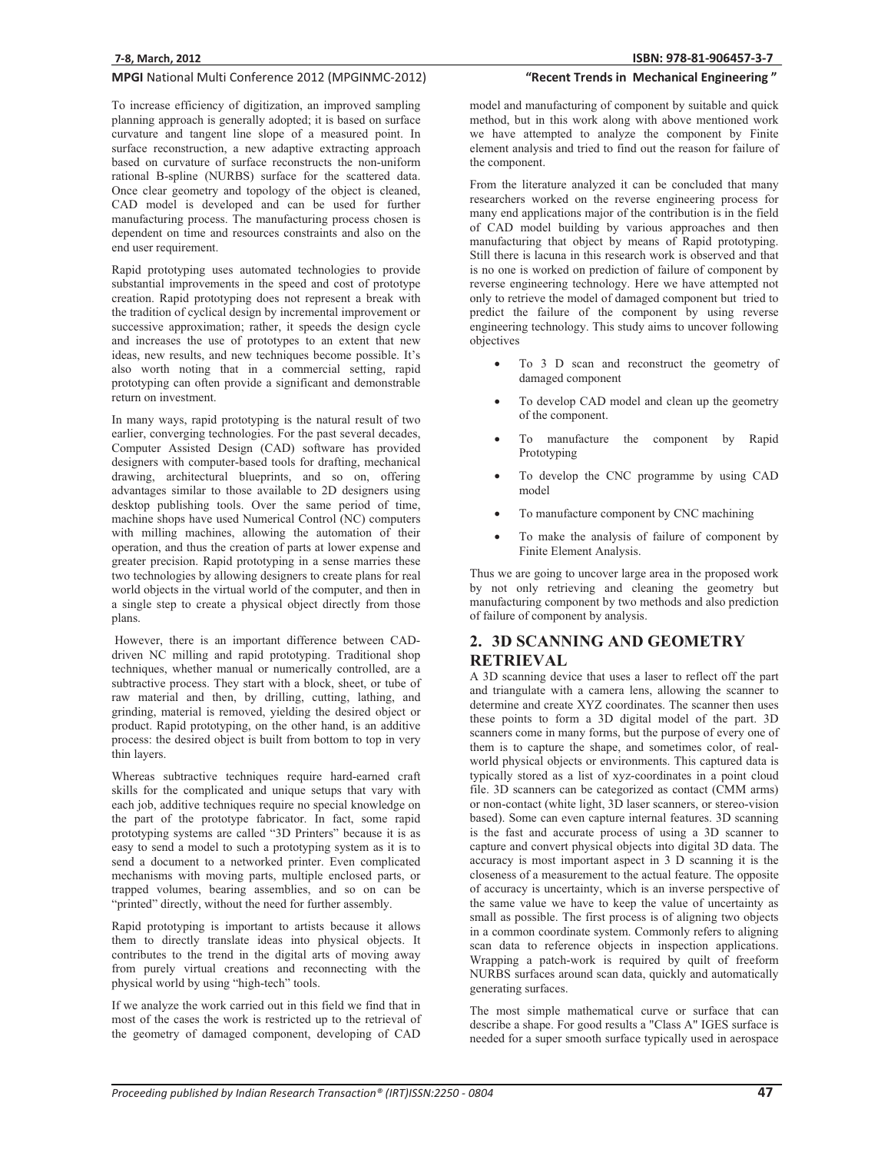To increase efficiency of digitization, an improved sampling planning approach is generally adopted; it is based on surface curvature and tangent line slope of a measured point. In surface reconstruction, a new adaptive extracting approach based on curvature of surface reconstructs the non-uniform rational B-spline (NURBS) surface for the scattered data. Once clear geometry and topology of the object is cleaned, CAD model is developed and can be used for further manufacturing process. The manufacturing process chosen is dependent on time and resources constraints and also on the end user requirement.

Rapid prototyping uses automated technologies to provide substantial improvements in the speed and cost of prototype creation. Rapid prototyping does not represent a break with the tradition of cyclical design by incremental improvement or successive approximation; rather, it speeds the design cycle and increases the use of prototypes to an extent that new ideas, new results, and new techniques become possible. It's also worth noting that in a commercial setting, rapid prototyping can often provide a significant and demonstrable return on investment.

In many ways, rapid prototyping is the natural result of two earlier, converging technologies. For the past several decades, Computer Assisted Design (CAD) software has provided designers with computer-based tools for drafting, mechanical drawing, architectural blueprints, and so on, offering advantages similar to those available to 2D designers using desktop publishing tools. Over the same period of time, machine shops have used Numerical Control (NC) computers with milling machines, allowing the automation of their operation, and thus the creation of parts at lower expense and greater precision. Rapid prototyping in a sense marries these two technologies by allowing designers to create plans for real world objects in the virtual world of the computer, and then in a single step to create a physical object directly from those plans.

 However, there is an important difference between CADdriven NC milling and rapid prototyping. Traditional shop techniques, whether manual or numerically controlled, are a subtractive process. They start with a block, sheet, or tube of raw material and then, by drilling, cutting, lathing, and grinding, material is removed, yielding the desired object or product. Rapid prototyping, on the other hand, is an additive process: the desired object is built from bottom to top in very thin layers.

Whereas subtractive techniques require hard-earned craft skills for the complicated and unique setups that vary with each job, additive techniques require no special knowledge on the part of the prototype fabricator. In fact, some rapid prototyping systems are called "3D Printers" because it is as easy to send a model to such a prototyping system as it is to send a document to a networked printer. Even complicated mechanisms with moving parts, multiple enclosed parts, or trapped volumes, bearing assemblies, and so on can be "printed" directly, without the need for further assembly.

Rapid prototyping is important to artists because it allows them to directly translate ideas into physical objects. It contributes to the trend in the digital arts of moving away from purely virtual creations and reconnecting with the physical world by using "high-tech" tools.

If we analyze the work carried out in this field we find that in most of the cases the work is restricted up to the retrieval of the geometry of damaged component, developing of CAD

## "Recent Trends in Mechanical Engineering"

model and manufacturing of component by suitable and quick method, but in this work along with above mentioned work we have attempted to analyze the component by Finite element analysis and tried to find out the reason for failure of the component.

From the literature analyzed it can be concluded that many researchers worked on the reverse engineering process for many end applications major of the contribution is in the field of CAD model building by various approaches and then manufacturing that object by means of Rapid prototyping. Still there is lacuna in this research work is observed and that is no one is worked on prediction of failure of component by reverse engineering technology. Here we have attempted not only to retrieve the model of damaged component but tried to predict the failure of the component by using reverse engineering technology. This study aims to uncover following objectives

- - To 3 D scan and reconstruct the geometry of damaged component
- - To develop CAD model and clean up the geometry of the component.
- $\bullet$  To manufacture the component by Rapid Prototyping
- - To develop the CNC programme by using CAD model
- -To manufacture component by CNC machining
- - To make the analysis of failure of component by Finite Element Analysis.

Thus we are going to uncover large area in the proposed work by not only retrieving and cleaning the geometry but manufacturing component by two methods and also prediction of failure of component by analysis.

## **2. 3D SCANNING AND GEOMETRY RETRIEVAL**

A 3D scanning device that uses a laser to reflect off the part and triangulate with a camera lens, allowing the scanner to determine and create XYZ coordinates. The scanner then uses these points to form a 3D digital model of the part. 3D scanners come in many forms, but the purpose of every one of them is to capture the shape, and sometimes color, of realworld physical objects or environments. This captured data is typically stored as a list of xyz-coordinates in a point cloud file. 3D scanners can be categorized as contact (CMM arms) or non-contact (white light, 3D laser scanners, or stereo-vision based). Some can even capture internal features. 3D scanning is the fast and accurate process of using a 3D scanner to capture and convert physical objects into digital 3D data. The accuracy is most important aspect in 3 D scanning it is the closeness of a measurement to the actual feature. The opposite of accuracy is uncertainty, which is an inverse perspective of the same value we have to keep the value of uncertainty as small as possible. The first process is of aligning two objects in a common coordinate system. Commonly refers to aligning scan data to reference objects in inspection applications. Wrapping a patch-work is required by quilt of freeform NURBS surfaces around scan data, quickly and automatically generating surfaces.

The most simple mathematical curve or surface that can describe a shape. For good results a "Class A" IGES surface is needed for a super smooth surface typically used in aerospace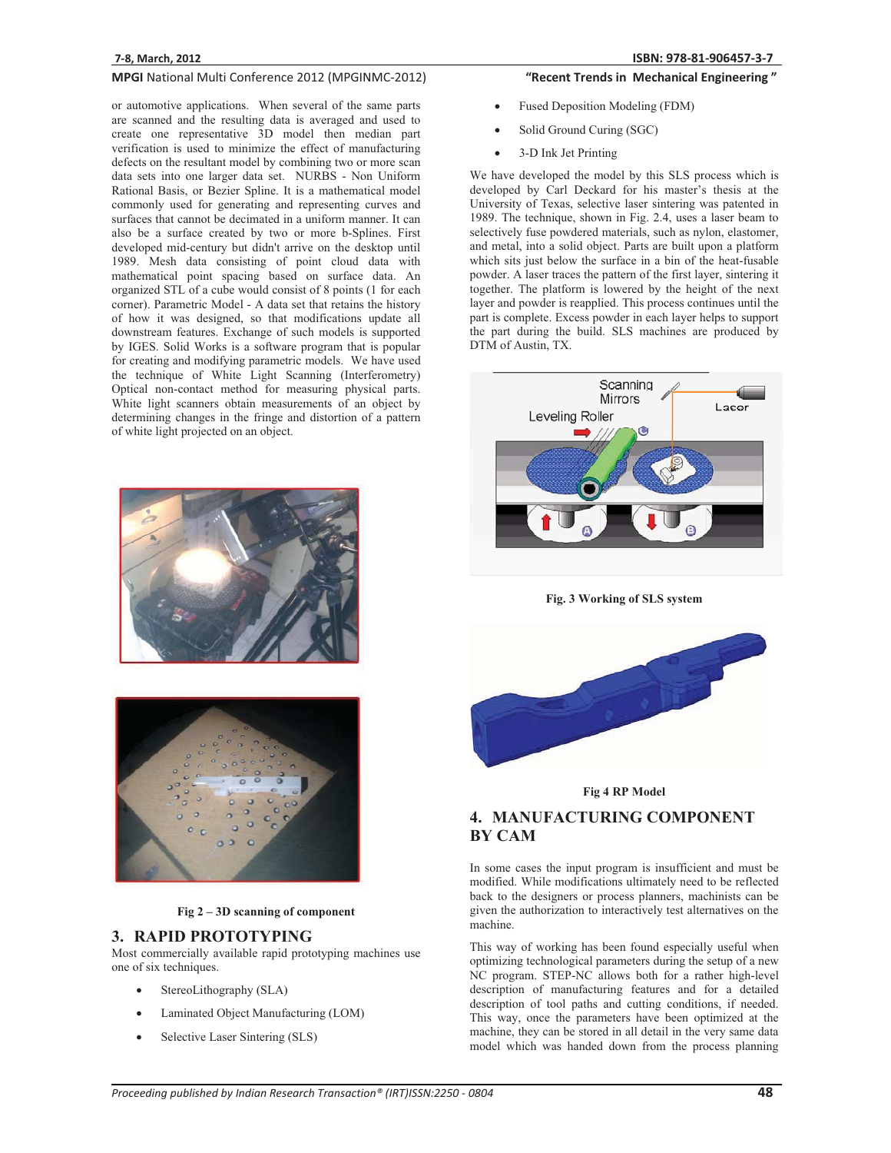or automotive applications. When several of the same parts are scanned and the resulting data is averaged and used to create one representative 3D model then median part verification is used to minimize the effect of manufacturing defects on the resultant model by combining two or more scan data sets into one larger data set. NURBS - Non Uniform Rational Basis, or Bezier Spline. It is a mathematical model commonly used for generating and representing curves and surfaces that cannot be decimated in a uniform manner. It can also be a surface created by two or more b-Splines. First developed mid-century but didn't arrive on the desktop until 1989. Mesh data consisting of point cloud data with mathematical point spacing based on surface data. An organized STL of a cube would consist of 8 points (1 for each corner). Parametric Model - A data set that retains the history of how it was designed, so that modifications update all downstream features. Exchange of such models is supported by IGES. Solid Works is a software program that is popular for creating and modifying parametric models. We have used the technique of White Light Scanning (Interferometry) Optical non-contact method for measuring physical parts. White light scanners obtain measurements of an object by determining changes in the fringe and distortion of a pattern of white light projected on an object.





**Fig 2 – 3D scanning of component** 

## **3. RAPID PROTOTYPING**

Most commercially available rapid prototyping machines use one of six techniques.

- -StereoLithography (SLA)
- -Laminated Object Manufacturing (LOM)
- -Selective Laser Sintering (SLS)

## "Recent Trends in Mechanical Engineering"

- -Fused Deposition Modeling (FDM)
- -Solid Ground Curing (SGC)
- -3-D Ink Jet Printing

We have developed the model by this SLS process which is developed by Carl Deckard for his master's thesis at the University of Texas, selective laser sintering was patented in 1989. The technique, shown in Fig. 2.4, uses a laser beam to selectively fuse powdered materials, such as nylon, elastomer, and metal, into a solid object. Parts are built upon a platform which sits just below the surface in a bin of the heat-fusable powder. A laser traces the pattern of the first layer, sintering it together. The platform is lowered by the height of the next layer and powder is reapplied. This process continues until the part is complete. Excess powder in each layer helps to support the part during the build. SLS machines are produced by DTM of Austin, TX.



**Fig. 3 Working of SLS system** 



#### **Fig 4 RP Model**

# **4. MANUFACTURING COMPONENT BY CAM**

In some cases the input program is insufficient and must be modified. While modifications ultimately need to be reflected back to the designers or process planners, machinists can be given the authorization to interactively test alternatives on the machine.

This way of working has been found especially useful when optimizing technological parameters during the setup of a new NC program. STEP-NC allows both for a rather high-level description of manufacturing features and for a detailed description of tool paths and cutting conditions, if needed. This way, once the parameters have been optimized at the machine, they can be stored in all detail in the very same data model which was handed down from the process planning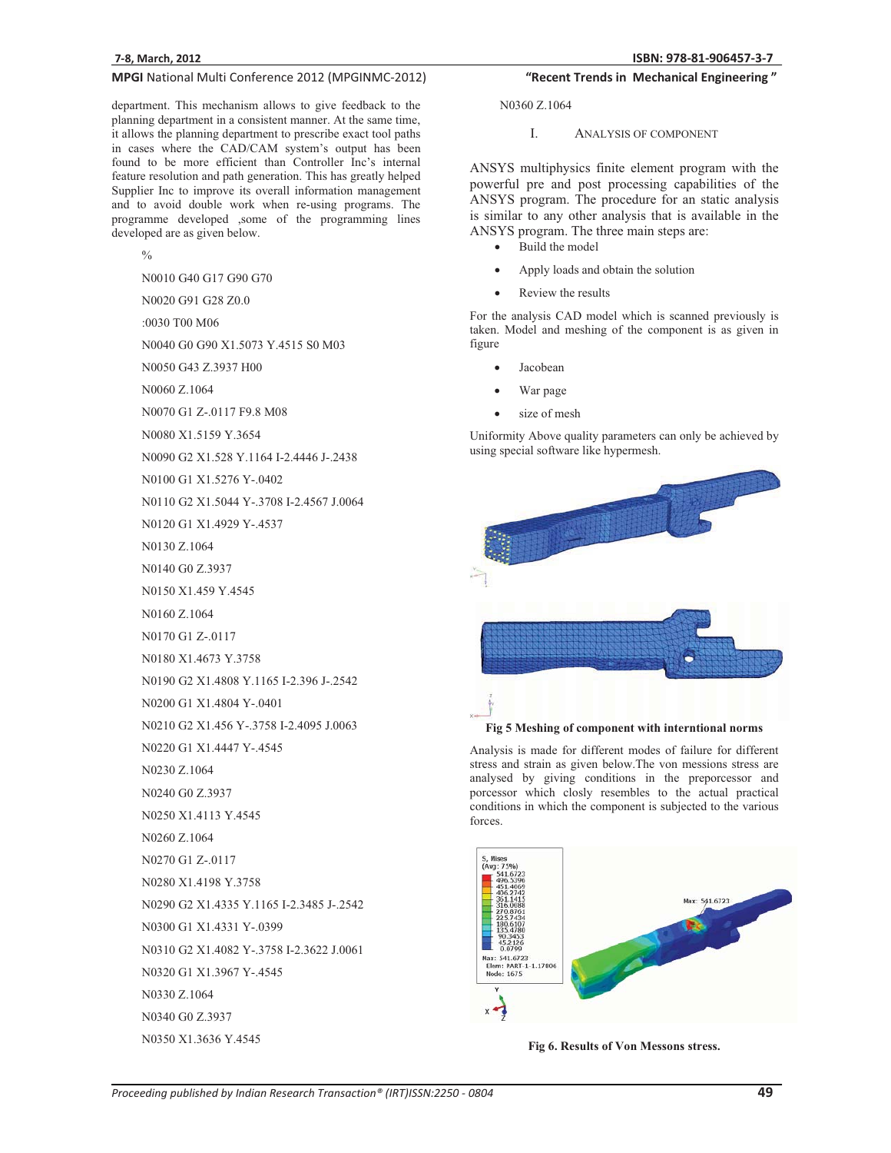department. This mechanism allows to give feedback to the planning department in a consistent manner. At the same time, it allows the planning department to prescribe exact tool paths in cases where the CAD/CAM system's output has been found to be more efficient than Controller Inc's internal feature resolution and path generation. This has greatly helped Supplier Inc to improve its overall information management and to avoid double work when re-using programs. The programme developed ,some of the programming lines developed are as given below.

 $\frac{0}{6}$ 

N0010 G40 G17 G90 G70

N0020 G91 G28 Z0.0

:0030 T00 M06

N0040 G0 G90 X1.5073 Y.4515 S0 M03

N0050 G43 Z.3937 H00

N0060 Z.1064

N0070 G1 Z-.0117 F9.8 M08

N0080 X1.5159 Y.3654

N0090 G2 X1.528 Y.1164 I-2.4446 J-.2438

N0100 G1 X1.5276 Y-.0402

N0110 G2 X1.5044 Y-.3708 I-2.4567 J.0064

N0120 G1 X1.4929 Y-.4537

N0130 Z.1064

N0140 G0 Z.3937

N0150 X1.459 Y.4545

N0160 Z.1064

N0170 G1 Z-.0117

N0180 X1.4673 Y.3758

N0190 G2 X1.4808 Y.1165 I-2.396 J-.2542

N0200 G1 X1.4804 Y-.0401

N0210 G2 X1.456 Y-.3758 I-2.4095 J.0063

N0220 G1 X1.4447 Y-.4545

N0230 Z.1064

N0240 G0 Z.3937

N0250 X1.4113 Y.4545

N0260 Z.1064

N0270 G1 Z-.0117

N0280 X1.4198 Y.3758

N0290 G2 X1.4335 Y.1165 I-2.3485 J-.2542

N0300 G1 X1.4331 Y-.0399

N0310 G2 X1.4082 Y-.3758 I-2.3622 J.0061

N0320 G1 X1.3967 Y-.4545

N0330 Z.1064

N0340 G0 Z.3937

N0350 X1.3636 Y.4545

## "Recent Trends in Mechanical Engineering"

N0360 Z.1064

#### I. ANALYSIS OF COMPONENT

ANSYS multiphysics finite element program with the powerful pre and post processing capabilities of the ANSYS program. The procedure for an static analysis is similar to any other analysis that is available in the ANSYS program. The three main steps are:

- -Build the model
- -Apply loads and obtain the solution
- -Review the results

For the analysis CAD model which is scanned previously is taken. Model and meshing of the component is as given in figure

- -Jacobean
- -War page
- size of mesh

Uniformity Above quality parameters can only be achieved by using special software like hypermesh.



**Fig 5 Meshing of component with interntional norms** 

Analysis is made for different modes of failure for different stress and strain as given below.The von messions stress are analysed by giving conditions in the preporcessor and porcessor which closly resembles to the actual practical conditions in which the component is subjected to the various forces.



**Fig 6. Results of Von Messons stress.**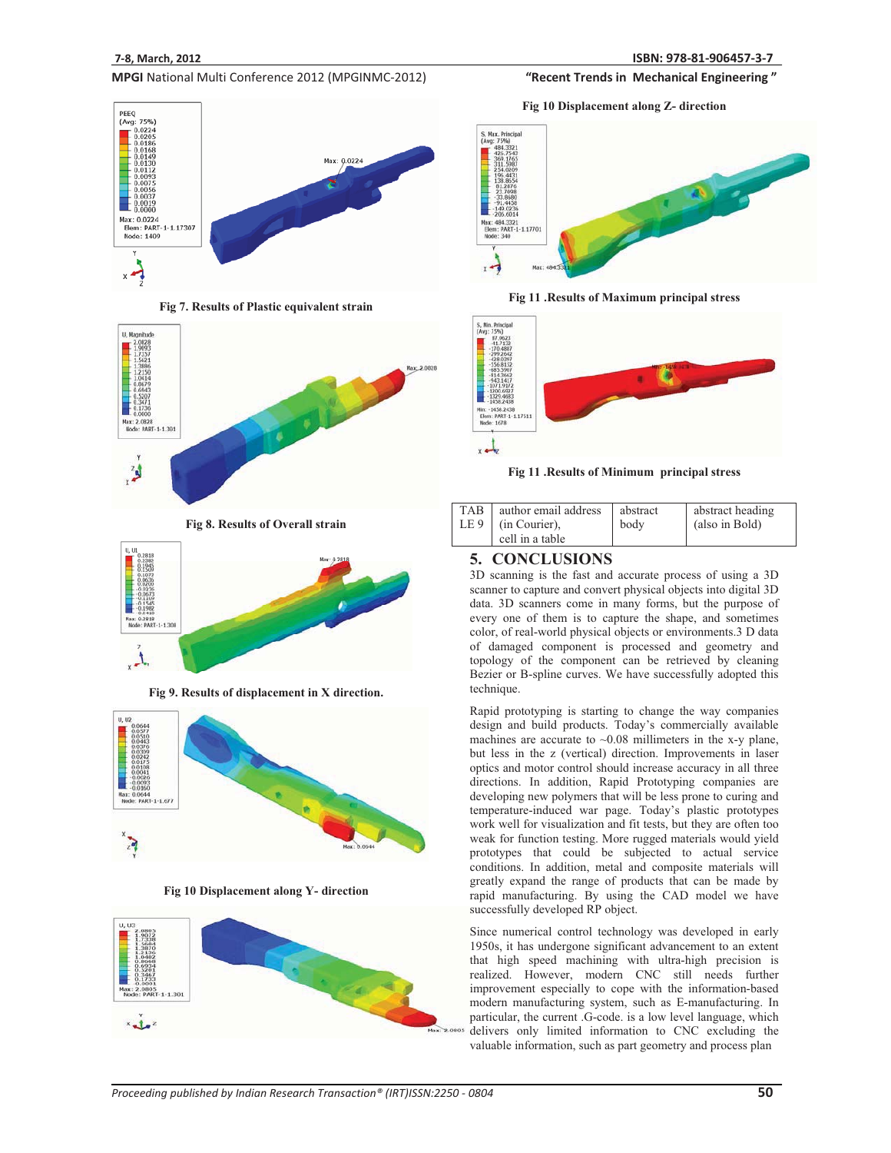

**Fig 7. Results of Plastic equivalent strain** 



**Fig 8. Results of Overall strain** 



**Fig 9. Results of displacement in X direction.** 



**Fig 10 Displacement along Y- direction** 





"Recent Trends in Mechanical Engineering"

**Fig 11 .Results of Maximum principal stress** 



**Fig 11 .Results of Minimum principal stress** 

|  | TAB   author email address<br>LE $9$ (in Courier),<br>cell in a table | abstract<br>body | abstract heading<br>(also in Bold) |
|--|-----------------------------------------------------------------------|------------------|------------------------------------|
|--|-----------------------------------------------------------------------|------------------|------------------------------------|

## **5. CONCLUSIONS**

3D scanning is the fast and accurate process of using a 3D scanner to capture and convert physical objects into digital 3D data. 3D scanners come in many forms, but the purpose of every one of them is to capture the shape, and sometimes color, of real-world physical objects or environments.3 D data of damaged component is processed and geometry and topology of the component can be retrieved by cleaning Bezier or B-spline curves. We have successfully adopted this technique.

Rapid prototyping is starting to change the way companies design and build products. Today's commercially available machines are accurate to ~0.08 millimeters in the x-y plane, but less in the z (vertical) direction. Improvements in laser optics and motor control should increase accuracy in all three directions. In addition, Rapid Prototyping companies are developing new polymers that will be less prone to curing and temperature-induced war page. Today's plastic prototypes work well for visualization and fit tests, but they are often too weak for function testing. More rugged materials would yield prototypes that could be subjected to actual service conditions. In addition, metal and composite materials will greatly expand the range of products that can be made by rapid manufacturing. By using the CAD model we have successfully developed RP object.

Since numerical control technology was developed in early 1950s, it has undergone significant advancement to an extent that high speed machining with ultra-high precision is realized. However, modern CNC still needs further improvement especially to cope with the information-based modern manufacturing system, such as E-manufacturing. In particular, the current .G-code. is a low level language, which delivers only limited information to CNC excluding the valuable information, such as part geometry and process plan